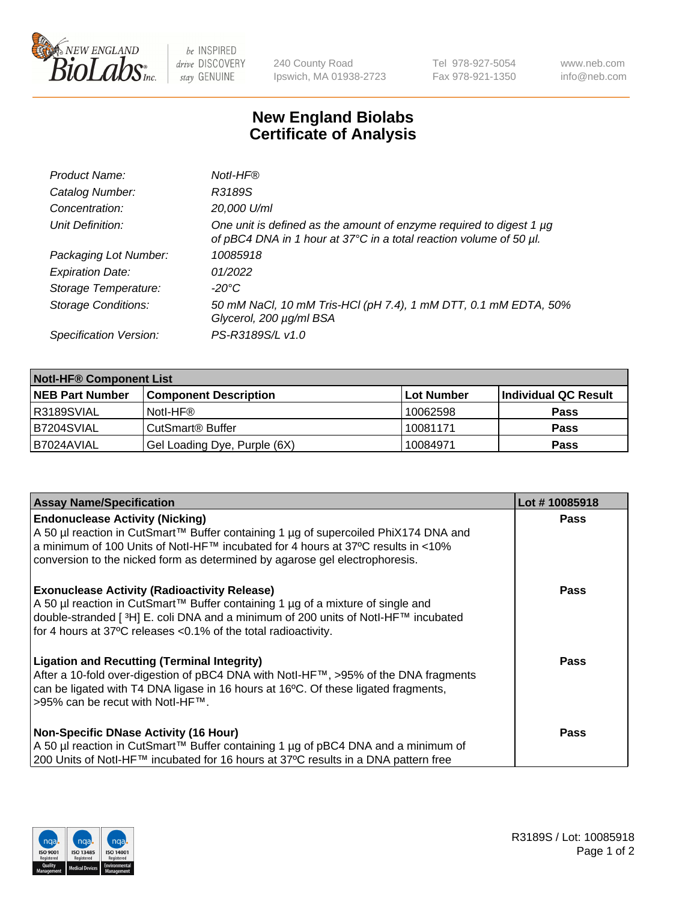

 $be$  INSPIRED drive DISCOVERY stay GENUINE

240 County Road Ipswich, MA 01938-2723 Tel 978-927-5054 Fax 978-921-1350 www.neb.com info@neb.com

## **New England Biolabs Certificate of Analysis**

| Product Name:              | Notl-HF®                                                                                                                                  |
|----------------------------|-------------------------------------------------------------------------------------------------------------------------------------------|
| Catalog Number:            | R3189S                                                                                                                                    |
| Concentration:             | 20,000 U/ml                                                                                                                               |
| Unit Definition:           | One unit is defined as the amount of enzyme required to digest 1 µg<br>of pBC4 DNA in 1 hour at 37°C in a total reaction volume of 50 µl. |
| Packaging Lot Number:      | 10085918                                                                                                                                  |
| <b>Expiration Date:</b>    | 01/2022                                                                                                                                   |
| Storage Temperature:       | $-20^{\circ}$ C                                                                                                                           |
| <b>Storage Conditions:</b> | 50 mM NaCl, 10 mM Tris-HCl (pH 7.4), 1 mM DTT, 0.1 mM EDTA, 50%<br>Glycerol, 200 µg/ml BSA                                                |
| Specification Version:     | PS-R3189S/L v1.0                                                                                                                          |

| <b>Notl-HF® Component List</b> |                              |            |                      |  |  |
|--------------------------------|------------------------------|------------|----------------------|--|--|
| <b>NEB Part Number</b>         | <b>Component Description</b> | Lot Number | Individual QC Result |  |  |
| I R3189SVIAL                   | Notl-HF®                     | 10062598   | <b>Pass</b>          |  |  |
| B7204SVIAL                     | CutSmart <sup>®</sup> Buffer | 10081171   | <b>Pass</b>          |  |  |
| B7024AVIAL                     | Gel Loading Dye, Purple (6X) | 10084971   | <b>Pass</b>          |  |  |

| <b>Assay Name/Specification</b>                                                                                                                                                                                                                                                                              | Lot #10085918 |
|--------------------------------------------------------------------------------------------------------------------------------------------------------------------------------------------------------------------------------------------------------------------------------------------------------------|---------------|
| <b>Endonuclease Activity (Nicking)</b><br>  A 50 µl reaction in CutSmart™ Buffer containing 1 µg of supercoiled PhiX174 DNA and                                                                                                                                                                              | <b>Pass</b>   |
| a minimum of 100 Units of Notl-HF™ incubated for 4 hours at 37°C results in <10%<br>conversion to the nicked form as determined by agarose gel electrophoresis.                                                                                                                                              |               |
| <b>Exonuclease Activity (Radioactivity Release)</b><br>  A 50 µl reaction in CutSmart™ Buffer containing 1 µg of a mixture of single and<br>double-stranded [ <sup>3</sup> H] E. coli DNA and a minimum of 200 units of Notl-HF™ incubated<br>for 4 hours at 37°C releases <0.1% of the total radioactivity. | Pass          |
| <b>Ligation and Recutting (Terminal Integrity)</b><br>After a 10-fold over-digestion of pBC4 DNA with Notl-HF™, >95% of the DNA fragments<br>can be ligated with T4 DNA ligase in 16 hours at 16 <sup>o</sup> C. Of these ligated fragments,<br>1>95% can be recut with NotI-HF™.                            | Pass          |
| <b>Non-Specific DNase Activity (16 Hour)</b><br>A 50 µl reaction in CutSmart™ Buffer containing 1 µg of pBC4 DNA and a minimum of<br>200 Units of Notl-HF™ incubated for 16 hours at 37°C results in a DNA pattern free                                                                                      | <b>Pass</b>   |